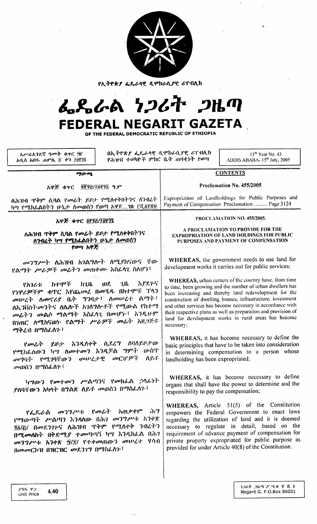|  |  | ۰. |
|--|--|----|
|  |  |    |

የኢትዮጵያ ፌዴራላዊ ዲሞክራሲያዊ ሪፐብሊክ

# んとんめ シンムヤ つルの FEDERAL NEGARIT GAZETA

OF THE FEDERAL DEMOCRATIC REPUBLIC OF ETHIOPIA

አዳስ አበባ- ሐምሌ © ቀን ፲፱፻፶ በኢትዮጵያ ፌዴራሳዊ ዲሞክራሲያዊ ሪፐብሊክ የሕዝብ ተወካዮች ምክር ቤት ሐባቂነት የወጣ

11<sup>th</sup> Year No. 43 ADDIS ABABA-15<sup>th</sup> July, 2005

 $\overline{\sigma y}$ 

#### አዋጅ ቁጥር **QPNG/TDPNA** ዓ.ም

## Proclamation No. 455/2005

Expropriation of Landholdings for Public Purposes and

Payment of Compensation Proclamation ........ Page 3124

**CONTENTS** 

ለሕዝብ ጥቅም ሲባል የመሬት ይዞታ የሚለቀቅበትንና ለንብረት ካሣ የሚከራልበትን ሁኔታ ስመወሰን የወጣ አዋጅ... 18 ይሺልያኛዩ

አዋጅ ቁጥር <u>019</u>701913

ለሕዝብ <mark>ጥቅም ሲባል የ*መሬ*ት ይ</mark>ዞታ የሚሰቀቅበትንና ሰንብሬት ካሣ የሚከፌልበትን ሁኔታ ስመወሰን የወጣ አዋጅ

*መንግሥት* ለሕዝብ አገልግሎት ለሚያከናውና ቸው የልማት *ሥራዎች መ*ሬትን መጠቀሙ አስራሳጊ ስስሆነ፣

**カイ・クッジ**  $\omega$ . አያደጉና **7H.**  $h$ 7.11. やんりんすい የነዋሪዎችም ቁጥር እየጨመረ በመሄዱ በከተሞቹ ጥኅን መሠረት ስመኖሪያ ቤት ማንባታ፤ ስመሠረተ ልማት፣ ለኢንቨስት መንትና ለሴሱች አንስግሎቶች የሚውል የከተማ መሬትን መልሶ ማልማት አስራሳጊ በመሆኑ፤ እንዲሁም በገጠር ለሚከናወን የልማት ሥራዎች መራት አዘጋጅቶ ማቅረብ በማስራሰም፣

የመሬት ይዞታ እንዲሰቀቅ ሲደረግ ሰባሰይዞታው የሚክሬስውን ካሣ ስሙተመን እንዲቻል ማምት ውስጥ συγηλ γσιπηΐων συνε*ή* τ  $\omega$ CII' $\mathcal{P}$ i ስይቶ *መ*ወሰን በማስፌስጉ፣

ካግውን የመተመን ሥልጣንና የመክራል ኃላፊነት ደስባቸውን አካሳት በግልጽ ሰይቶ መወሰን በማስራሰን፣

አጠቃቀም ี *ส*่า<sup>9</sup>  $\omega$ ''/''''  $\omega$ <sup>'</sup> የፌዴራል የማውጣት ሥልጣን እንዳለው በሕገ መንግሥቱ አንቀጽ ፶፩/፩/ በመደንዋታና ስሕዝብ ጥቅም የሚሰቀቅ ንብረትን በሚመለከት በቅድሚያ ተመጣጣኝ ካሣ እንዲከራል በሕገ መንግሥቱ እንቀጽ ፵/፪/ የተቀመጠውን መሠረተ ሃሳብ በመመርኮዝ በዝርዝር መደንገግ በማስራስን ፣

A PROCLAMATION TO PROVIDE FOR THE **EXPROPRIATION OF LAND HOLDINGS FOR PUBLIC** PURPOSES AND PAYMENT OF COMPENSATION.

PROCLAMATION NO. 455/2005.

WHEREAS, the government needs to use land for development works it carries out for public services;

WHEREAS, urban centers of the country have, from time to time, been growing and the number of urban dwellers has been increasing and thereby land redevelopment for the construction of dwelling houses, infrastructure, investment and other services has become necessary in accordance with their respective plans as well as preparation and provision of land for development works in rural areas has become necessary:

WHEREAS, it has become necessary to define the basic principles that have to be taken into consideration in determining compensation to a person whose landholding has been expropriated;

WHEREAS, it has become necessary to define organs that shall have the power to determine and the responsibility to pay the compensation;

WHEREAS, Article 51(5) of the Constitution empowers the Federal Government to enact laws regarding the utilization of land and it is deemed necessary to regulate in detail, based on the requirement of advance payment of compensation for private property expropriated for public purpose as provided for under Article 40(8) of the Constitution.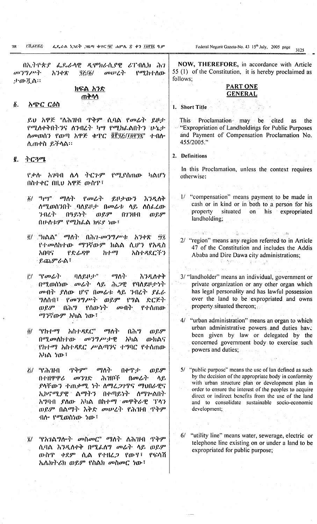EK.SYKG ፌዴራል ነጋሪት ጋዜጣ ቁዋር 90 ሐምሌ ድ. ቀን ፲፱፻፶፫ ዓ.ም 92.

በኢትዮጵያ ፌዴራላዊ ዲሞክራሲያዊ ሪፐብሊክ ሕገ  $\omega$ <sup>2</sup>/2 $\omega$ አንቀጽ  $\sigma$ <sub> $\sigma$ </sub> $\sigma$  $\sim$  $\sigma$  $\sim$ የሚከተለው  $97/6/$ 小田章本:

#### ክፍል አንድ ጠቅሳሳ

#### $\boldsymbol{\delta}$ . አጭር ርዕስ

ይህ አዋጅ "ለሕዝብ ጥቅም ሲባል የመራት ይዞታ የሚሰቀቅበትንና ሰንብረት ካሣ የሚከፌልበትን ሁኔታ ለመወሰን የወጣ አዋጅ ቀጥር ፬፻፶ፘ/፲፱፻፶፪" ተብሎ ሊጠቀስ ይችላል።

 $\mathcal{C}_{\cdot}$ ትርጓሜ

> <u>የቃሉ አንባብ ሴሳ ትርጉም</u> የሚያሰጠው ካልሆነ በስተቀር በዚህ አዋጅ ውስዋ፤

- $^{40}P^{n}$   $^{70}P^{n}$   $^{70}P^{n}$ አንዲለቅ  $\ddot{\delta}$ 乳けの? ለሚወሰንበት ባለይዞታ በመሬቱ ላይ ለሰፌረው  $0.89$ ንብረት በዓይነት 02300  $QQ^{\mu}Q^{\nu}$ በሁለቱም የሚከፌል ክፍደ ነው፤
- g/ "ክልል" ማለት በሕገ*-መንግሥቱ* አንቀጽ ŴΪ, የተመሰከተው ማንኛውም ክልል ሲሆን የአዲስ  $h f \cdot q$ አበባና የድሬዳዋ አስተዳደርችን **ይጨ**ምራል፤
- $\ddot{r}$   $\qquad$   $q$   $q$   $q$   $q$   $\ddot{r}$ すんしょう しょうしょう  $q\gamma$ ት አንዲስቀቅ በሚወሰነው መሬት ላይ ሕጋዊ የባለይዞታነት መብት ያለው ሆኖ በመራቱ ላይ ንብረት ያፈራ ግለሰብ፣ *የመንግሥት ወይ*ም የግል ድርጅት ወይም በሕግ ማንኛውም አካል ነው<sup>፣</sup>
- "የክተማ አስተዳደር" ማስ $\eta$ በሕግ ö/ ወይም  $(109, q0)$   $(100, q0)$   $q0$   $(10, q0)$   $(10, q0)$ አካል -ውክልና የኩተማ አስተዳደር ሥልጣንና ተግባር የተሰጠው አካል ነው፤
- $\mathcal{L}/\sqrt[16]{2}$ የሕዝብ $\sqrt{2}$ **ጥቅም** ጣስ $\cdot$ በቀጥታ  $QQ, QP$ በተዘዋዋሪ  $\sigma$   $\eta$   $\chi$ ሕዝቦች  $0$   $\sigma$   $\Delta$   $\Gamma$ ላይ, ያላቸውን ተጠቃሚ ነት ለማሬ*ጋገ*ጥና ማህበራዊና ኢኮኖሚያዊ ልማትን በቀጣይነት ለማጕልበት አግባብ ያለው አካል በከተማ መዋቅራዊ ፕላን ወይም በልማት እቅድ መሠረት የሕዝብ ጥቅም ብስ የሚወስነው ነው ፡

ൂ/ "የአገልግሎት መስመር" ማለት ለሕዝብ ጥቅም ሲባል እንዲለቀቅ በሚፊስግ መሬት ላይ ወደም ውስዋ ቀደም ሲል የተዘረ*ጋ* የውሃ፣ የፍሳሽ ኤሌክትሪክ ወይም የስልክ መስመር ነው፤

Federal Negarit Gazeta-No. 43 15<sup>th</sup> July, 2005 page  $3125$ 

NOW, THEREFORE, in accordance with Article 55 (1) of the Constitution, it is hereby proclaimed as follows:

## **PART ONE GENERAL**

- 1. Short Title
	- This Proclamation may be cited as the <sup>5</sup> "Expropriation of Landholdings for Public Purposes and Payment of Compensation Proclamation No. 455/2005."

2. Definitions

**See SAMP** 

- In this Proclamation, unless the context requires otherwise:
- 1/ "compensation" means payment to be made in cash or in kind or in both to a person for his property situated on his expropriated landholding:
- $1 + 5 = 3.3$  (4, 4) 2/ "region" means any region referred to in Article 47 of the Constitution and includes the Addis Ababa and Dire Dawa city administrations:  $\{ \cdot \cdot \cdot \}^{m}$  ,  $\{ \cdot \cdot \}$ Articles

Website Bank

 $\gamma_{\rm e} = 2\,\mu$ 

- 3/ "landholder" means an individual, government or private organization or any other organ which has legal personality and has lawful possession over the land to be expropriated and owns property situated thereon;
- 4/ "urban administration" means an organ to which urban administrative powers and duties have been given by law or delegated by the concerned government body to exercise such powers and duties;
- $5/$ "public purpose" means the use of lan defined as such by the decision of the appropriate body in conformity with urban structure plan or development plan in order to ensure the interest of the peoples to acquire direct or indirect benefits from the use of the land and to consolidate sustainable socio-economic development;
- 6/ "utility line" means water, sewerage, electric or telephone line existing on or under a land to be expropriated for public purpose;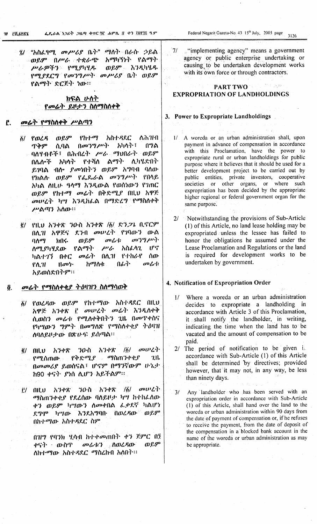19 FA.SY8%

ን/ "አስፈፃሚ *መሥሪ*ያ ቤት" ማስት በራሱ ኃይል አማካኝነት የልማት ፡ወይም በሥራ ተቋራጭ ወይም እንዲካሄዱ ሥራዎችን የሚያካሂዱ የማያደርግ የመንግሥት መሥሪያ ቤት ወይም የልማት ድርጅት ነው።

## ክፍል ሁለት የመሬት ይዞታን ስለማስለቀቅ

#### $\mathbf{r}$ . መሬት የማስስቀቅ ሥልጣን

- ለሕዝብ  $0.9<sup>p</sup>$  $Ph·l·$ ማ አስተዳደር  $\ddot{o}$ / የወረዳ ሲባል ጥቅም በግል ባለሃብቶች፤ በሕብረት ሥራ ማህበራት ወይም የተሻለ ልማት ሊካሄድበት አካሳት በሌለ•ች ይገባል ብስ *ያመነ*በትን ወይም አግባብ ባሰው የክልሉ ወይም የፌዴራል መንግሥት የበላይ **አካል ስዚ**ሁ *ዓ*ላማ እ*ንዲ*ውል የወሰነውን የገጠር ወይም የከተማ መሬት በቅድሚያ በዚህ አዋጅ *መ*ሠረት ካሣ እንዲከሬል በማድረግ የማስለቀቅ ሥልጣን አስው።
- ፪/ የዚህ አንቀጽ ንውስ አንቀጽ /፩/ ድን*ጋ*ኔ ቢኖርም በሲገዘ አዋጅና ደንብ መሠረት የገባውን ውል  $0.89$  $\sigma$ '') $\eta$  $\mu$  $\eta$ . ባለማ ክበሩ  $\omega$  /s<sup>-1</sup>: լբզ. ሰሚያካሂደው የልማት  $P$ አስፊላን. መሬት በሲዝ የተከራየ ሰው ካልተገኘ በቀር  $\mathbf{u}$ ከማሰቁ በፊትነ  $\omega$ የለ.ዝ አይወሰድበትም፡፡

#### መሬት የማስሰቀቂያ ትዕዛዝን ስስማሳወቅ  $\boldsymbol{\tilde{0}}$ .

- ፩/ የወሬዳው ወይም የከተማው አስተዳደር በዚህ አዋጅ አንቀጽ ፫ መሠረት መሬት እንዲስቀቅ ሰ.ወስን መራቱ የሚስቀቅበትን ጊዜ በመጥቀስና የካሣውን *ግምት* በመግለጽ የማስለቀቂ*ያ ትዕ*ዛዝ ስባለይዞታው በጽሁፍ ይሰጣል።
- $\sigma$ <sub> $\sigma$ </sub> $\mu$ <sup>2</sup> $\gamma$ <sup>2</sup> ፪/ በዚህ አንቀጽ አንቀጽ  $/6/$ ንዑስ <u>የቅድሚያ ማስጠንቀቂያ</u>  $2<sub>th</sub>$ የሚሰጠው በመመሪያ ይወስናል፤ ሆኖም በማንኛውም ሁኔታ ክ90 ቀናት ያነሰ ሲሆን አይችልም።
- $\omega$ <sub> $U$ </sub> $\lambda$ <sup> $\lambda$ </sup> 011.0 እንቀጽ *ን*ውስ አንቀጽ /ğ/  $i^j$ ማስጠንቀቂያ የደረሰው ባስይዞታ ካሣ ከተከራሰው ቀን ወይም ካሣውን ስመቀበል ፌቃደኛ ካልሆነ ደግሞ ካሣው እንደአግባቡ በወረዳው ወይም በከተማው አስተዳደር ስም

በዝግ የባንክ ሂሳብ ከተቀመጠበት ቀን ጀምሮ በ፤ መራቱን ስወረዳው ወይም ቀናት ውስጥ ለከተማው አስተዳደር ማስረከብ አሰበት፡፡

 $7/$ "implementing agency" means a government agency or public enterprise undertaking or causing to be undertaken development works with its own force or through contractors.

#### i<sup>an di</sup> Lej*te*r **PART TWO EXPROPRIATION OF LANDHOLDINGS**

# 3. Power to Expropriate Landholdings

- A woreda or an urban administration shall, upon  $1/$ payment in advance of compensation in accordance with this Proclamation, have the power to expropriate rural or urban landholdings for public purpose where it believes that it should be used for a better development project to be carried out by public entities, private investors, cooperative societies or other organs, or where such expropriation has been decided by the appropriate higher regional or federal government organ for the same purpose.
- $2l$ Notwithstanding the provisions of Sub-Article (1) of this Article, no land lease holding may be expropriated unless the lessee has failed to honor the obligations he assumed under the Lease Proclamation and Regulations or the land is required for development works to be undertaken by government.

#### 4. Notification of Expropriation Order

- Where a woreda or an urban administration  $1/$ decides to expropriate a landholding in accordance with Article 3 of this Proclamation, it shall notify the landholder, in writing, indicating the time when the land has to be vacated and the amount of compensation to be paid.
- 2/ The period of notification to be given i. accordance with Sub-Article (1) of this Article shall be determined by directives; provided however, that it may not, in any way, be less than ninety days.
- $3/$ Any landholder who has been served with an expropriation order in accordance with Sub-Article (1) of this Article, shall hand over the land to the woreda or urban administration within 90 days from the date of payment of compensation or, if he refuses to receive the payment, from the date of deposit of the compensation in a blocked bank account in the name of the woreda or urban administration as may be appropriate.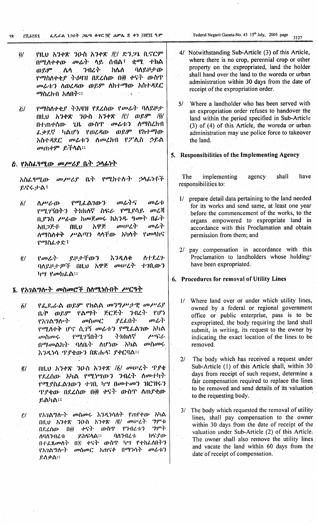- የዚህ አንቀጽ 30 ስ አንቀጽ /፫/ ድንጋጌ ቢኖርም  $\ddot{\theta}$ በሚስቀቀው *መሬት* ሳይ ሰብል፣ ቋሚ ተክል  $0.89^{\circ}$ ንብረት ከሴስ ባለይዞታው ለላ የማስለቀቂያ ትዕዛዝ በደረሰው በ፴ ቀናት ውስጥ መሬቱን ስወረዳው ወደም ስከተማው አስተዳደር ማስረከብ አስበት።
- የማስሰቀቂያ ትእዛዝ የደረሰው የመራት ባለይዞታ  $\ddot{G}$ በዚህ አንቀጽ ንዑስ አንቀጽ /i'/ ወይም /ö/ ውስጥ  $\omega$   $\omega$   $\left| \cdot \right\rangle$ ለማስረከብ በተጠቀሰው ጊዜ ፌቃደኛ ካልሆነ የወረዳው  $0.89^\circ$ የከተማው አስተዳደር መሬቱን ለመረከብ የፖሊስ ኃይል መጠቀም ይችሳል።

# ጅ. <u>የአስፈፃሚው መሥ</u>ሪያ ቤት ኃላፊነት

 $\omega \mu \nu \lambda \rho$  (k)  $\rho \sigma \eta h + h \gamma$ つへんりゃふ አስፊ.ዓሚው ይኖሩ ታል፣

- $\Delta \nu L \Phi$ የሚፈል*ገ*ውን መራትና  $\sigma$   $\omega$   $\mathbf{r}$  $\delta$ የሚገኝበትን ትክክለኛ ስፍራ የሚያሳይ መረጃ ቢያንስ ሥራው ከመጀመሩ ከአንዱ ዓመት በራት አዋጅ  $\omega$ *v* $\lambda$ <sup>1</sup>  $q_0$ ,  $\eta$ . እዘ*ጋ*ጅቶ  $(III, U)$ ሰማስለቀቅ ሥልጣን ሳሳቸው አካሳት  $\gamma$ መላክና የማስራቀድ፣
- ለተደረጉ  $\mathbf{g}/$  $\mathcal{P}$  and  $\mathcal{P}$ . 211ナギのう አንዲስቀ ባለይዞታዎች በዚህ አዋጅ መሠረት ተገቢውን ካሣ የመክራል።

# ፮. የአገልግሎት መስመሮች ስስሚነሱበት <del>ሥርዓ</del>ት

- የፌዶራል ወይም የክልል መንግሥታዊ መሥሪያ  $\delta/$ የልማት ጅርጅት ንብረት የሆነ <u>ሴት ወይም</u>  $\omega$ nan $\mathcal C$ የአገልግሎት ያረፊበት  $\omega$ የማስቀቅ ሆኖ ሲገኝ መሬቱን የሚፌልገው አካል መስመሩ የሚገኝበት ን ትክክለኛ からん በማመልክት ባለቤት ለሆነው አካል  $\omega$   $\Omega$ እንዲነሳ ጥያቄውን በጽሑፍ ያቀርባል።
- በዚህ አንቀጽ ንዑስ አንቀጽ /፩/ መሠረት ጥያቄ  $g/$ የደረሰው አካል የሚነሣውን ንብረት ስሙተካት የሚያስፌልገውን ተገቢ ካሣ በመተመን ዝርዝሩን ጥያቄው በደረሰው በ፴ ቀናት ውስጥ ለጠያቂው ይልካል።
- የአገልግሎት መስመሩ እንዲነሳስት የጠየቀው አካል  $\ddot{r}$ / 30 ስ አንቀጽ /፪/ መሠረት ግምቱ **OILD 6348** *ግምት* ាយ៊ ቀናት ውስዋ የንብረቱን በደረሰው ይክፍላል። ለባለንብራቱ ባለንብረቱ ክናየው በተፈጸመሰት በጅ ቀናት ውስጥ ካሣ የተከፈለበትን የአንልማሎት መስመር አጠናቆ በማንሳት መራቱን ይሰቃል።
- Federal Negarit Gazeta-No. 43 15th July, 2005 page  $3127$
- 4/ Notwithstanding Sub-Article (3) of this Article, where there is no crop, perennial crop or other property on the expropriated, land the holder shall hand over the land to the woreda or urban administration within 30 days from the date of receipt of the expropriation order.
- Where a landholder who has been served with  $5/$ an expropriation order refuses to handover the land within the period specified in Sub-Article (3) of (4) of this Article, the woreda or urban administration may use police force to takeover the land.

# 5. Responsibilities of the Implementing Agency

The *implementing* agency shall have responsibilities to:

- 1/ prepare detail data pertaining to the land needed for its works and send same, at least one year before the commencement of the works, to the organs empowered to expropriate land in accordance with this Proclamation and obtain permission from them; and
- pay compensation in accordance with this  $2\Gamma$ Proclamation to landholders whose holding. have been expropriated.

# 6. Procedures for removal of Utility Lines

- 1/ Where land over or under which utility lines, owned by a federal or regional government office or public enterprise, pass is to be expropriated, the body requiring the land shall submit, in writing, its request to the owner by indicating the exact location of the lines to be removed.
- The body which has received a request under  $2f$ Sub-Article (1) of this Article shall, within 30 days from receipt of such request, determine a fair compensation required to replace the lines to be removed and send details of its valuation to the requesting body.
- 3/ The body which requested the removal of utility lines, shall pay compensation to the owner within 30 days from the date of receipt of the valuation under Sub-Article (2) of this Article. The owner shall also remove the utility lines and vacate the land within 60 days from the date of receipt of compensation.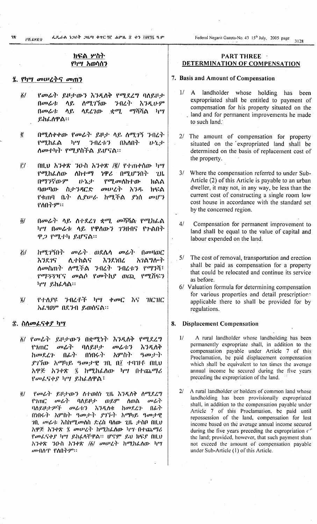ፌዴራል ነጋሪት ጋዜጣ ቁተር 90 ሐምሌ # ቀን ፲፱፻፶ ዓ.ም

## ክፍል ሦስት የካሣ አወሳሰን

#### ፯. የካሣ መሠረትና መጠን

78

።<br>የአያያ ም

- $\ddot{\delta}$ የመሬት ይዞታውን እንዲስቅ የሚደረግ ባለይዞታ  $0$ an $\mathcal{L}$ ·l: ለሚገኘው ንብረት ሳይ **እ**3ዲሁም  $0$ *a*<sup>0</sup> $\lambda$ ·k  $\phi$ ማ ማሻሻል ሳይ ሳደረገው 597 ይከፌስዋል።
- $\boldsymbol{\mu}$ በሚሰቀቀው የመሬት ይዞታ ሳይ ስሚገኝ ንብረት የሚከራል  $\mathbf{h}$ **グルマットウ** በአለበት ひちか ለመተካት የሚያስችል ይሆናል።
- $i'$ በዚህ አንቀጽ ንዑስ አንቀጽ /፪/ የተጠቀሰው ካሣ  $\Delta h \cdot l \cdot \sigma \eta$ የሚከፌለው ንዋሪ በሚሆንበት **7.H.** በማንኛውም ひりか  $P^{op}$  መለከተው ክልል ባወጣው ስታንዳርድ  $\sigma$ <sub> $\sigma$ </sub> $\mu$  $\lambda$ <sup> $\lambda$ </sup> አንዱ ክፍል የቁጠባ ቤት ሲያሠራ ከሚችል ያነሰ  $\sigma v \mathfrak{h}'$ የሰበትም።
- $\ddot{\theta}$ / በመሬት ሳይ ሰተደረገ ቋሚ መሻሻል የሚከሬል ካሣ በመሬቱ ላይ የዋለውን ገንዘብና የጉልበት ዋ*ጋ የሚ*ተካ ይሆናል።
- $\theta$  and  $\theta$  and  $\theta$  $\ddot{c}$ ክሚንኝበት  $\omega$ ራት ወደሌላ  $\sigma$  $\alpha$ . **አ**ንደንና ለ.ተክልና እንደነበረ አገልግሎት ለመስጠት ለሚችል ንብረት ንብረቱን የማንሻ፤ *የማጓጓ*ግርና መልሶ የመትክያ ወጪ የሚሽፍን ካሣ ይከራሳል።
- $i\prime$ የተሰያዩ ንብረቶች ካሣ ቀመር እና  $TC$ HC አራየወም በደንብ ይወሰናል።

#### ፰. ስስመፌናቀያ ካሣ

- ፩/ የመሬት ይዞታውን በቋሚነት እንዲለቅ የሚደረግ  $\omega_{\mathcal{L}}$  $P$ an $C$ ባለይዞታ መሬቱን እንዲለቅ ከመደረጉ በፊት በነበሩት አምስት  $9$  and  $\cdot$  is in the set of  $\cdot$ ያገኘው አማካይ ዓመታዊ ገቢ በ፤ ተባዝቶ በዚህ አዋጅ አንቀጽ ፪ ከሚክሬሰው ካሣ በተጨማሪ የመሬናቀያ ካሣ ይከራስዋል፣
- የመሬት ይዞታውን ስተወሰነ ጊዜ እንዲለቅ ሰሚደረግ  $\ddot{e}$ የዓጠር *መ*ሬት ባስይዞታ ወይም ሰወል  $m\lambda$ . ባለይዞታዎች ከመደረጉ መራቱን **እንዲለ**ቁ በፊት በነበሩት አምስት ዓመታት ያገኙት አማካይ ዓመታዊ *ገ*በ, መሬቱ እስከሚመለስ ድረስ ባለው ጊዜ ታስቦ በዚህ አዎጅ አንቀጽ ፯ መሠረት ከሚከፌሰው ካሣ በተጨማሪ የመሬናቀያ ካሣ ይከራሳቸዋል። ሆኖም ይህ ክፍያ በዚህ አንቀጽ ንዑስ አንቀጽ /፩/ መሠረት ከሚከራሰው ካግ *መ*ብሰጥ የስበትም።

## **PART THREE** DETERMINATION OF COMPENSATION

#### 7. Basis and Amount of Compensation

- 1/ A landholder whose holding has been expropriated shall be entitled to payment of compensation for his property situated on the land and for permanent improvements he made to such land.
- The amount of compensation for property  $2l$ situated on the expropriated land shall be determined on the basis of replacement cost of the property.
- $3/$ Where the compensation referred to under Sub-Article (2) of this Article is payable to an urban dweller, it may not, in any way, be less than the current cost of constructing a single room low cost house in accordance with the standard set by the concerned region.
- $4/$ Compensation for permanent improvement to land shall be equal to the value of capital and labour expended on the land.
- $5/$ The cost of removal, transportation and erection shall be paid as compensation for a property that could be relocated and continue its service as before.
- 6/ Valuation formula for determining compensation for various properties and detail prescriptions applicable there to shall be provided for by regulations.

#### 8. Displacement Compensation

- $1/$ A rural landholder whose landholding has been permanently expropriate shall, in addition to the compensation payable under Article 7 of this Proclamation, be paid displacement compensation which shall be equivalent to ten times the average annual income he secured during the five years preceding the expropriation of the land.
- $2/$ A rural landholder or holders of common land whose landholding has been provisionally expropriated shall, in addition to the compensation payable under Article 7 of this Proclamation, be paid until repossession of the land, compensation for lost income based on the average annual income secured during the five years preceding the expropriation c<sup>o</sup> the land; provided, however, that such payment shall not exceed the amount of compensation payable under Sub-Article (1) of this Article.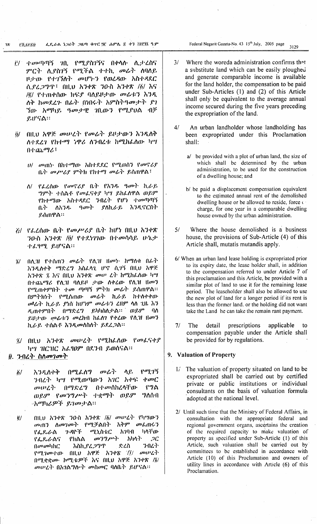ፌዴራል ነጋሪት ጋዜጣ ቁተር ፵፫ ሐምሌ ፩ ቀን ፲፱፻፶ ዓ.ም 72 **EK.SYRD** 

- <u>it/ ተመጣጣኝ 7በ. የሚያስገኝና በቀሳሱ ሲ</u>ታረስና ምርት ሲያስገኝ የሚችል ተተኪ መሬት ሰባለይ ዞታው የተገኘለት መሆኑን የወረዳው አስተዳደር ሲያፈጋግጥ፤ በዚህ አንቀጽ ንዑስ አንቀጽ /፩/ እና /e/ የተጠቀሰው ክፍያ ባለይዞታው መራቱን እንዲ ለቅ ከመደረጉ በፊት በነበሩት አምስትዓመታት ያገ ኘው አማካይ *ዓመታዊ ገ*ቢውን የሚያህል ብቻ ይሆናል።
- በዚህ አዋጅ መሠረት የመሬት ይዞታውን እንዲሰቅ  $\ddot{\theta}$ / ለተደረገ የከተማ ነዋሪ ሰንበረቱ ከሚከራስው ካሣ  $0.1 \text{ GeV}$ 
	- $U/$  መጠካ በከተማው አስተደደር የሚወሰን የመኖሪያ ቤት መሥሪያ ምትክ የኩተማ መራት ይሰጠዋል፤
	- ለ/ የፌረሰው የመኖሪያ ቤት የአንዱ ዓመት ኪራይ ግምት ተሰልቶ የመሬናቀያ ካግ ይከሬስዋል ወይም የከተማው አስተዳደር ንብረት የሆነ ተመጣጣኝ ለአንዱ ዓመት ያስኪራይ እንዲኖርበት  $0.9<sup>+</sup>$ ደሰጠዋል።
- ሯ/ የፌረሰው ቤት የመሥሪያ ቤት ከሆነ በዚህ አንቀጽ ንዑስ አንቀጽ /፬/ የተደነገገው በተመሳሳይ ሁኔታ ተፈፃሚ ይሆናል።
- በሲዝ የተሰጠን መሬት የሲዝ ዘመኑ ከማሰቁ በራት  $\frac{d}{dx}$ አንዲስቀቅ ማድረግ አስራሳጊ ሆኖ ሲገኝ በዚህ አዋጅ አንቀጽ ፯ እና በዚህ አንቀጽ መሠ ሬት ከሚከራሰው ካሣ በተጨማሪ የሲዝ ባለይዞ ታው ሰቀረው የሲዝ ዘመን የሚጠቀምበት ተመ ጣጣኝ ምትክ መራት ይሰጠዋል፡፡ በምትክንት የሚሰጠው መራት ኪራይ ከተሰቀቀው *σ*Φራት ኪራይ ያነስ ከሆነም መራቱን ሬዘም ላለ ጊዜ እን ዲጠቀምበት በማድረግ ይካካስለታል፡፡ ወይም ባለ ይሁታው መራቱን መሬከብ ከራስን የቀረው የሲዝ ዘመን ኪራይ ተሰልቶ እንዲመስስስት ይደረጋል፡፡
- $\ddot{y}$ / በዚህ አንቀጽ መሠረት የሚከራሰው የመራናቀያ ካሣ ዝርዝር አራፃወም በደንብ ይወስናል።

# ፱. ንብረት ስለመገመት

- መሬት ላይ  $\gamma$ <sup> $\gamma$ </sup>  $\delta/$ አንዲስቀቅ  $0^\text{op}.$ ለግ ንብረት ካሣ የሚወጣውን አገር አቀፍ ቀመር መሠረት በማድረግ ብተ*መ*ሳከረሳቸው የግል ወይም የመንግሥት ተቋማት ወይም ግለሰብ «አማካሪዎች ይገመታል።
- በዚህ አንቀጽ ንውስ አንቀጽ /፩/ መሠረት የካሣውን  $\ddot{e}$ መጠን ስመገመት የሚቻልበት አቅም መሬጠሩን የፌዴራል ን ዳዮች ሚኒስቴር አንባብ ካሳቸው የፌዴራስና  $\omega$ ካ'ነግ $\mu$ ካት አካላት  $2C$ የክልል አስኪያፈ*ጋግ*ጥ ንብረት  $(1$ *an ani*<sub>li</sub>n $C$ ድረስ በሚቋቋሙ ኮሚቴዎች እና በዚህ አዋጅ አንቀጽ /ጀ/ መሠረት በአገልግሎት መስመር ባለቤት ይሆናል።

Federal Negarit Gazeta-No. 43 15<sup>th</sup> July, 2005 page 3129

- $3/$ Where the woreda administration confirms that a substitute land which can be easily ploughed and generate comparable income is available for the land holder, the compensation to be paid under Sub-Articles (1) and (2) of this Article shall only be equivalent to the average annual income secured during the five years preceding the expropriation of the land.
- $4/$ An urban landholder whose landholding has been expropriated under this Proclamation shall:
	- a/ be provided with a plot of urban land, the size of which shall be determined by the urban administration, to be used for the construction of a dwelling house; and
	- b/ be paid a displacement compensation equivalent to the estimated annual rent of the demolished dwelling house or be allowed to reside, force of charge, for one year in a comparable dwelling house owned by the urban administration.
- $5/$ Where the house demolished is a business house, the provisions of Sub-Article (4) of this Article shall, mutatis mutandis apply.
- 6/ When an urban land lease holding is expropriated prior to its expiry date, the lease holder shall, in addition to the compensation referred to under Article 7 of this proclamation and this Article, be provided with a similar plot of land to use it for the remaining lease period. The leaseholder shall also be allowed to use the new plot of land for a longer period if its rent is less than the former land, or the holding did not want take the Land he can take the remain rant payment.
- $7/$ The detail prescriptions applicable  $t_{\Omega}$ compensation payable under the Article shall be provided for by regulations.

#### 9. Valuation of Property

- 1/ The valuation of property situated on land to be expropriated shall be carried out by certified private or public institutions or individual consultants on the basis of valuation formulaadopted at the national level.
- 2/ Until such time that the Ministry of Federal Affairs, in consultation with the appropriate federal and regional government organs, ascertains the creation of the required capacity to make valuation of property as specified under Sub-Article (1) of this Article, such valuation shall be carried out by committees to be established in accordance with Article (10) of this Proclamation and owners of utility lines in accordance with Article (6) of this Proclamation.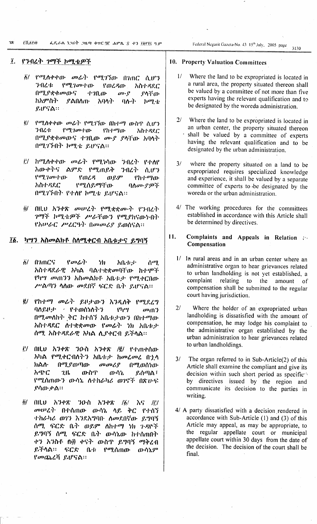PK SYM 78. ፌዴራል ነጋሪት ጋዜጣ ቁቀር 90 ሐምሌ \$ ቀን ፲፱፻፶ ዓ.ም

Federal Negarit Gazeta-No. 43-15<sup>th</sup> July, 2005 page 3130

#### $\tilde{I}$ . የንብረት ገማች ኮሚቴዎች

- ፩/ የሚሰቀቀው *መ*ሬት የሚገኘው በገጠር ሲሆን 学ብረቱ  $\mathbf{P}^{\sigma}$ ?  $\mathbf{P}^{\sigma}$ የወረዳው አስተዳደር በሚያቋቁመውና  $4.70 \text{.}$  $\omega$ <sup>0</sup>. ያላቸው ከአምስት **ያልበስ**ጡ አባሳት  $90 - 7$  $h^{q}$ ይሆናል።
- ፪/ የሚለቀቀው መራት የሚገኘው በከተማ ውስጥ ሲሆን  $\frac{\rho}{\rho}$ .  $\frac{\rho}{\rho}$ ろのわた የከተማው አስተዳደር በሚያቋቁመውና ተገቢው መያ ያሳቸው አባላት በሚገኙበት ኮሚቴ ይሆናል፡፡
- il/ ከሚለቀቀው መራት የሚነሳው ንብረት የተለየ አውቀትና ልምድ የሚጠይቅ ን በረት ሲሆን ወይም  $\mathcal{C}^{a}$ ?  $\mathcal{C}^{a}$   $\mathcal{C}^{b}$ የወረዳ የክተማው አስተዳደር የሚሰይማቸው ባለሙያዎች በሚገኙበት የተሰየ ኮሚቴ ይሆናል፡፡
- $\ddot{\theta}$ / በዚህ አንቀጽ መሠረት የሚቋቋሙት የንብረት ንማች ከሚቴዎች ሥራቸውን የሚያከናውኑበት የአሠራር ሥሬርዓት በመመሪያ ይወሰናል።

#### $\overline{16}$ . <u>ካሣን አስመልክቶ ስለሚቀርብ አቤቱታና ይግባኝ</u>

- $\delta/$   $020C$  $\mathcal{P}$  and  $\mathcal{P}$ . 冗 えのホット ሰማ አስተዳደራዊ አካል ባልተቋቋመባቸው ከተሞች የካሣ መጠንን አስመልክቶ አቤቱታ የሚቀርበው ሥልጣን ሳስው መደበኛ ፍርድ ቤት ይሆናል።
- $\ddot{e}$ የከተማ መሬት ይዞታውን እንዲለቅ የሚደረግ ባለይዞታ < የተወሰነለትን  $P<sub>1</sub>$  $\cdot$  $\cdot$  $\cdot$  $\omega$  and  $\gamma$ በሚመለከት ቅር ከተሰኘ አቤቱታውን በከተማው አስተዳደር ስተቋቋመው የመራት ነክ አቤቱታ ሰማ. አስተዳደራዊ አካል ሲያቀርብ ይችላል፡፡
- i!/ በዚህ አንቀጽ ንዑስ አንቀጽ /፪/ የተጠቀሰው አካል የሚቀርብለትን አቤቱታ ከመረመረ በኋላ ክልስ በሚያወጣው  $\omega \omega \mathcal{L}$ በሚወሰነው አጭር  $2<sub>th</sub>$ ውስጥ ውሳኔ ይሰጣል ፣ የሚሰጠውን ውሳኔ ስተክራካሪ ወገኖች በጽሁፍ ያሳው ቃል።
- $\frac{1}{6}$ ö/  $01LU = \lambda 348$ ንውስ አንቀጽ  $\lambda$ <sup>c</sup> /i'/ መሠረት በተሰጠው ውሳኔ ላይ ቅር የተሰኘ ተከራካሪ ወገን እንደአግባቡ ለመደበኛው ይግባኝ ሰማ. ፍርድ ቤት ወይም ስከተማ ነክ ጉዳዮች ይግባኝ ሰሚ ፍርድ ቤት ውሳኔው ከተሰጠበት ቀን አንስቶ በ፴ ቀናት ውስጥ ይግባኝ ማቅረብ ይችሳል። ፍርድ ቤቱ የሚሰጠው ውሳኔም የመጨረሻ ይሆናል።

# 10. Property Valuation Committees

- $1/$ Where the land to be expropriated is located in a rural area, the property situated thereon shall be valued by a committee of not more than five experts having the relevant qualification and to be designated by the woreda administration.
- $2/$ Where the land to be expropriated is located in an urban center, the property situated thereon shall be valued by a committee of experts having the relevant qualification and to be designated by the urban administration.
- $3/$ where the property situated on a land to be expropriated requires specialized knowledge and experience, it shall be valued by a separate committee of experts to be designated by the woreda or the urban administration.
- 4/ The working procedures for the committees established in accordance with this Article shall be determined by directives.

#### $11.$ Complaints and Appeals in Relation 20 Compensation

- 1/ In rural areas and in an urban center where an administrative organ to hear grievances related to urban landholding is not yet established, a complaint relating to the amount - of compensation shall be submitted to the regular court having jurisdiction.
- Where the holder of an expropriated urban  $2l$ landholding is dissatisfied with the amount of compensation, he may lodge his complaint to the administrative organ established by the urban administration to hear grievances related to urban landholdings.
- $3/$ The organ referred to in Sub-Article(2) of this Article shall examine the compliant and give its decision within such short period as specifient by directives issued by the region and communicate its decision to the parties in writing.
- 4/ A party dissatisfied with a decision rendered in accordance with Sub-Article  $(1)$  and  $(3)$  of this Article may appeal, as may be appropriate, to the regular appellate court or municipal appellate court within 30 days from the date of the decision. The decision of the court shall be final.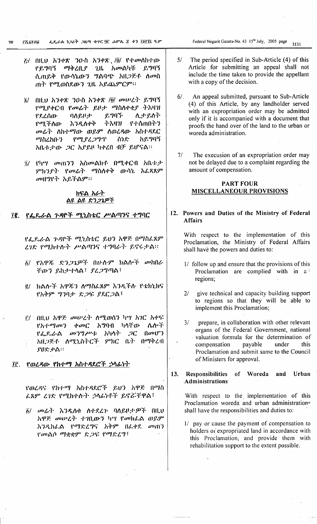- $\mathcal{E}/$  በዚህ አንቀጽ ንዑስ አንቀጽ /፬/ የተመሰከተው የይማባኝ ማቅረቢያ  $2<sub>th</sub>$ *እመ*ልካቹ ይማባኝ ሲጠይቅ የውሳኔውን ግልባጭ አዘጋጅቶ ሰመስ ጠት የሚወስደውን ጊዜ አይጨምርም።
- $\ddot{a}$  all b  $\ddot{b}$  3  $\theta$  and  $\ddot{b}$  3  $\theta$  and  $\ddot{b}$  and  $\ddot{b}$  and  $\ddot{b}$  and  $\ddot{b}$  and  $\ddot{b}$  and  $\ddot{b}$  and  $\ddot{b}$  and  $\ddot{b}$  and  $\ddot{b}$  and  $\ddot{b}$  and  $\ddot{b}$  and  $\ddot{b}$  and  $\ddot{b}$  a የሚያቀርብ የመሬት ይዞታ ማስሰቀቂያ ትእዛዝ የደረሰው ባስይዞታ ይማባኙ ሊታይለት የሚችለው አንዲስቀቅ ትእዛዝ የተሰጠበትን መሬት ስከተማው ወይም ስወረዳው አስተዳደር የሚያረጋግጥ ሰነድ ከይግባኝ *ማ*ስረክቡ'ን አቤቱታው *ጋ*ር አያይዞ ካቀረበ ብቻ ይሆናል።
- i/ የካሣ መጠንን አስመልክቶ በሚቀርብ አቤቱታ ምክንያት የመሬት ማስለቀቅ ውሳኔ አሬጻጸም መዘግየት አይችልም።

### ክፍል አራት <u>ልዩ ልዩ ድን*ጋጌዎ*ች</u>

፲፪. የፌዶራል ጉዳዮች ሚኒስቴር ሥልጣንና ተግባር

የፌዶራል ጉዳዮች ሚኒስቴር ይህን አዋጅ በማስራጸም ረገድ የሚከተሉት ሥልጣንና ተግባራት ይኖሩታል፡፡

- δ/ የአዋጁ ድን*ጋጌዎች* በሁሉም ክልሎች መከበራ ቸውን ይከታተላል፣ ያረጋግጣል፣
- ፪/ ክልሎች አዋጁን ለማስፌጸም እንዲችሉ የቴክኒክና የአቅም ግንባታ ድጋፍ ያደርጋል፣
- i!/ በዚህ አዋጅ መሠረት ለሚወሰን ካሣ አገር አቀፍ አማባብ ካላቸው ሌለ•ች የአተማመን  $\phi$  and  $\phi$  $\left(\left| \rho v \right|\right)^2$  $\sigma$ <sup>2</sup>/<sup>2</sup>/ $\mu$ <sup>1</sup>: አካሳት  $2C$ የፌዴራል አዘጋጅቶ ሰሚኒስትሮች ምክር ቤት በማቅረብ ያዐድቃል።

#### የወረዳው የከተማ አስተዳደሮች ኃላፊነት ÎΓ.

የወረዳና የከተማ አስተዳደሮች ይህን አዋጅ በማስ ራጸም ሬገድ የሚከተሉት ኃላፊነቶች ይኖሯቸዋል፣

*፟ል/ መሬት እንዲ*ስቁ ስተደረጉ ባለይዞታ*ዎች* በዚህ አዋጅ መሠረት ተገቢውን ካሣ የመክራል ወይም አንዲከሬል የማድረግና አቅም በሬቀደ መጠን የመልሶ ማቋቋም ድጋፍ የማድረግ፣

Federal Negarit Gazeta-No. 43 15th July, 2005 page  $3131$ 

- $5/$ The period specified in Sub-Article (4) of this Article for submitting an appeal shall not include the time taken to provide the appellant with a copy of the decision.
- An appeal submitted, pursuant to Sub-Article  $6/1$ (4) of this Article, by any landholder served with an expropriation order may be admitted only if it is accompanied with a document that proofs the hand over of the land to the urban or woreda administration.
- $7/$ The execusion of an expropriation order may not be delayed due to a complaint regarding the amount of compensation.

## **PART FOUR MISCELLANEOUR PROVISIONS**

## 12. Powers and Duties of the Ministry of Federal **Affairs**

With respect to the implementation of this Proclamation, the Ministry of Federal Affairs shall have the powers and duties to:

- 1/ follow up and ensure that the provisions of this Proclamation are complied with in a regions;
- $2<sup>1</sup>$ give technical and capacity building support to regions so that they will be able to implement this Proclamation;
- prepare, in collaboration with other relevant  $3/$ organs of the Federal Government, national valuation formula for the determination of compensation payable under this Proclamation and submit same to the Council of Ministers for approval.
- $13.$ **Responsibilities**  $of$ Woreda and Urban **Administrations**

With respect to the implementation of this Proclamation woreda and urban administrations shall have the responsibilities and duties to:

1/ pay or cause the payment of compensation to holders or expropriated land in accordance with this Proclamation, and provide them with rehabilitation support to the extent possible.